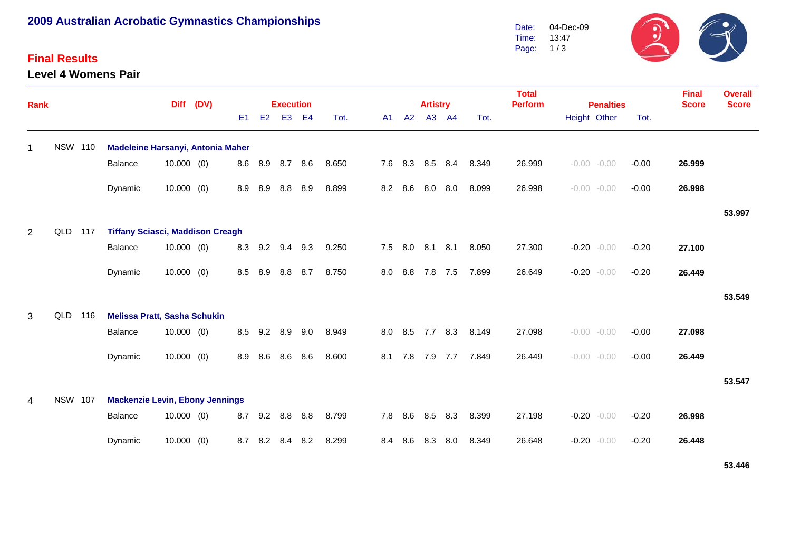## **2009 Australian Acrobatic Gymnastics Championships**

#### **Final Results**

**Level 4 Womens Pair**



| <b>Rank</b> |                |     |                                         | (DV)         |  |                | <b>Execution</b> |                |           |       |     | <b>Artistry</b> |     |       | <b>Total</b><br><b>Perform</b> | <b>Penalties</b> |                |         | <b>Final</b><br><b>Score</b> | <b>Overall</b><br><b>Score</b> |        |
|-------------|----------------|-----|-----------------------------------------|--------------|--|----------------|------------------|----------------|-----------|-------|-----|-----------------|-----|-------|--------------------------------|------------------|----------------|---------|------------------------------|--------------------------------|--------|
|             |                |     |                                         |              |  | E <sub>1</sub> | E2               | E <sub>3</sub> | <b>E4</b> | Tot.  | A1  | A2              |     | A3 A4 | Tot.                           |                  | Height Other   |         | Tot.                         |                                |        |
| 1           | <b>NSW 110</b> |     | Madeleine Harsanyi, Antonia Maher       |              |  |                |                  |                |           |       |     |                 |     |       |                                |                  |                |         |                              |                                |        |
|             |                |     | <b>Balance</b>                          | $10.000$ (0) |  | 8.6            |                  | 8.9 8.7 8.6    |           | 8.650 |     | 7.6 8.3 8.5     |     | 8.4   | 8.349                          | 26.999           | $-0.00 - 0.00$ |         | $-0.00$                      | 26.999                         |        |
|             |                |     | Dynamic                                 | $10.000$ (0) |  | 8.9            | 8.9              | 8.8            | 8.9       | 8.899 |     | 8.2 8.6         | 8.0 | 8.0   | 8.099                          | 26.998           | $-0.00 - 0.00$ |         | $-0.00$                      | 26.998                         |        |
|             |                |     |                                         |              |  |                |                  |                |           |       |     |                 |     |       |                                |                  |                |         |                              |                                | 53.997 |
| 2           | QLD            | 117 | <b>Tiffany Sciasci, Maddison Creagh</b> |              |  |                |                  |                |           |       |     |                 |     |       |                                |                  |                |         |                              |                                |        |
|             |                |     | Balance                                 | $10.000$ (0) |  | 8.3            | 9.2              | 9.4            | 9.3       | 9.250 | 7.5 | 8.0             | 8.1 | 8.1   | 8.050                          | 27.300           | $-0.20$        | $-0.00$ | $-0.20$                      | 27.100                         |        |
|             |                |     | Dynamic                                 | $10.000$ (0) |  | 8.5            | 8.9              | 8.8            | 8.7       | 8.750 | 8.0 | 8.8             | 7.8 | 7.5   | 7.899                          | 26.649           | $-0.20$        | $-0.00$ | $-0.20$                      | 26.449                         |        |
|             |                |     |                                         |              |  |                |                  |                |           |       |     |                 |     |       |                                |                  |                |         |                              |                                | 53.549 |
| 3           | QLD            | 116 | <b>Melissa Pratt, Sasha Schukin</b>     |              |  |                |                  |                |           |       |     |                 |     |       |                                |                  |                |         |                              |                                |        |
|             |                |     | Balance                                 | $10.000$ (0) |  | 8.5            | 9.2              | 8.9            | 9.0       | 8.949 | 8.0 | 8.5             | 7.7 | 8.3   | 8.149                          | 27.098           | $-0.00 - 0.00$ |         | $-0.00$                      | 27.098                         |        |
|             |                |     | Dynamic                                 | $10.000$ (0) |  | 8.9            | 8.6              | 8.6            | 8.6       | 8.600 | 8.1 | 7.8             | 7.9 | 7.7   | 7.849                          | 26.449           | $-0.00 - 0.00$ |         | $-0.00$                      | 26.449                         |        |
|             |                |     |                                         |              |  |                |                  |                |           |       |     |                 |     |       |                                |                  |                |         |                              |                                | 53.547 |
| 4           | <b>NSW 107</b> |     | <b>Mackenzie Levin, Ebony Jennings</b>  |              |  |                |                  |                |           |       |     |                 |     |       |                                |                  |                |         |                              |                                |        |
|             |                |     | Balance                                 | $10.000$ (0) |  | 8.7            | 9.2              | 8.8            | 8.8       | 8.799 |     | 7.8 8.6         | 8.5 | 8.3   | 8.399                          | 27.198           | $-0.20 - 0.00$ |         | $-0.20$                      | 26.998                         |        |
|             |                |     | Dynamic                                 | $10.000$ (0) |  | 8.7            | 8.2              | 8.4            | 8.2       | 8.299 | 8.4 | 8.6             | 8.3 | 8.0   | 8.349                          | 26.648           | $-0.20$        | $-0.00$ | $-0.20$                      | 26.448                         |        |

**53.446**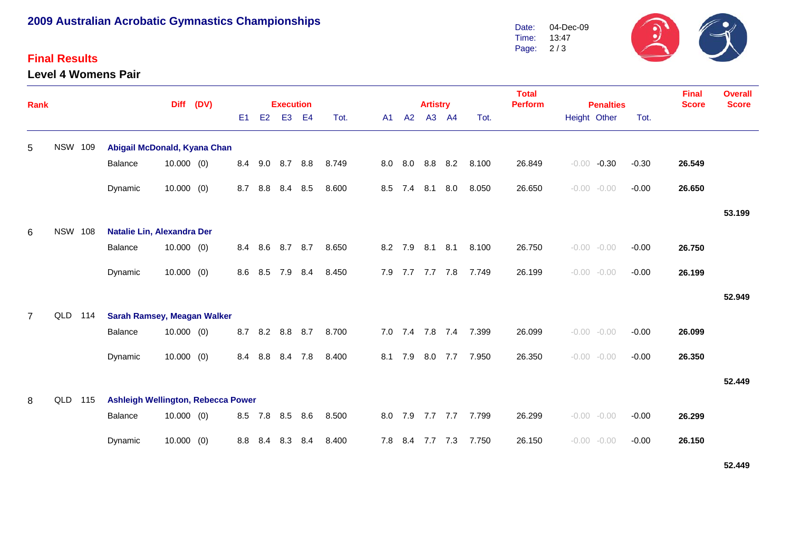# **2009 Australian Acrobatic Gymnastics Championships**

#### **Final Results**

**Level 4 Womens Pair**



| <b>Rank</b>    |                |     |                                    | (DV)         |  |                | <b>Execution</b> |                   |           |       |     | <b>Artistry</b> |                 |       | <b>Total</b><br><b>Perform</b> |        | <b>Penalties</b> |                | <b>Final</b><br><b>Score</b> | <b>Overall</b><br><b>Score</b> |        |
|----------------|----------------|-----|------------------------------------|--------------|--|----------------|------------------|-------------------|-----------|-------|-----|-----------------|-----------------|-------|--------------------------------|--------|------------------|----------------|------------------------------|--------------------------------|--------|
|                |                |     |                                    |              |  | E <sub>1</sub> | E2               | E <sub>3</sub>    | <b>E4</b> | Tot.  | A1  | A2              |                 | A3 A4 | Tot.                           |        | Height Other     |                | Tot.                         |                                |        |
| 5              | <b>NSW 109</b> |     | Abigail McDonald, Kyana Chan       |              |  |                |                  |                   |           |       |     |                 |                 |       |                                |        |                  |                |                              |                                |        |
|                |                |     | Balance                            | 10.000(0)    |  | 8.4            |                  | $9.0$ $8.7$ $8.8$ |           | 8.749 | 8.0 |                 | 8.0 8.8         | 8.2   | 8.100                          | 26.849 | $-0.00$          | $-0.30$        | $-0.30$                      | 26.549                         |        |
|                |                |     | Dynamic                            | $10.000$ (0) |  | 8.7            | 8.8              | 8.4               | 8.5       | 8.600 | 8.5 | 7.4             | 8.1             | 8.0   | 8.050                          | 26.650 | $-0.00$          | $-0.00$        | $-0.00$                      | 26.650                         |        |
|                |                |     |                                    |              |  |                |                  |                   |           |       |     |                 |                 |       |                                |        |                  |                |                              |                                | 53.199 |
| 6              | <b>NSW 108</b> |     | Natalie Lin, Alexandra Der         |              |  |                |                  |                   |           |       |     |                 |                 |       |                                |        |                  |                |                              |                                |        |
|                |                |     | Balance                            | 10.000(0)    |  | 8.4            | 8.6              | 8.7               | 8.7       | 8.650 |     | 8.2 7.9         | 8.1             | 8.1   | 8.100                          | 26.750 |                  | $-0.00 - 0.00$ | $-0.00$                      | 26.750                         |        |
|                |                |     | Dynamic                            | $10.000$ (0) |  | 8.6            | 8.5              | 7.9               | 8.4       | 8.450 |     |                 | 7.9 7.7 7.7 7.8 |       | 7.749                          | 26.199 |                  | $-0.00 - 0.00$ | $-0.00$                      | 26.199                         |        |
|                |                |     |                                    |              |  |                |                  |                   |           |       |     |                 |                 |       |                                |        |                  |                |                              |                                | 52.949 |
| $\overline{7}$ | QLD            | 114 | <b>Sarah Ramsey, Meagan Walker</b> |              |  |                |                  |                   |           |       |     |                 |                 |       |                                |        |                  |                |                              |                                |        |
|                |                |     | Balance                            | $10.000$ (0) |  | 8.7            | 8.2              | 8.8 8.7           |           | 8.700 | 7.0 | 7.4             | 7.8 7.4         |       | 7.399                          | 26.099 |                  | $-0.00 - 0.00$ | $-0.00$                      | 26.099                         |        |
|                |                |     | Dynamic                            | 10.000(0)    |  | 8.4            | 8.8              | 8.4 7.8           |           | 8.400 | 8.1 | 7.9             | 8.0             | 7.7   | 7.950                          | 26.350 |                  | $-0.00 - 0.00$ | $-0.00$                      | 26.350                         |        |
|                |                |     |                                    |              |  |                |                  |                   |           |       |     |                 |                 |       |                                |        |                  |                |                              |                                | 52.449 |
| 8              | QLD            | 115 | Ashleigh Wellington, Rebecca Power |              |  |                |                  |                   |           |       |     |                 |                 |       |                                |        |                  |                |                              |                                |        |
|                |                |     | Balance                            | $10.000$ (0) |  | 8.5            | 7.8              | 8.5               | 8.6       | 8.500 | 8.0 | 7.9             | 7.7 7.7         |       | 7.799                          | 26.299 |                  | $-0.00 - 0.00$ | $-0.00$                      | 26.299                         |        |
|                |                |     | Dynamic                            | $10.000$ (0) |  | 8.8            | 8.4              | 8.3               | 8.4       | 8.400 | 7.8 | 8.4             | 7.7 7.3         |       | 7.750                          | 26.150 | $-0.00$          | $-0.00$        | $-0.00$                      | 26.150                         |        |
|                |                |     |                                    |              |  |                |                  |                   |           |       |     |                 |                 |       |                                |        |                  |                |                              |                                |        |

**52.449**